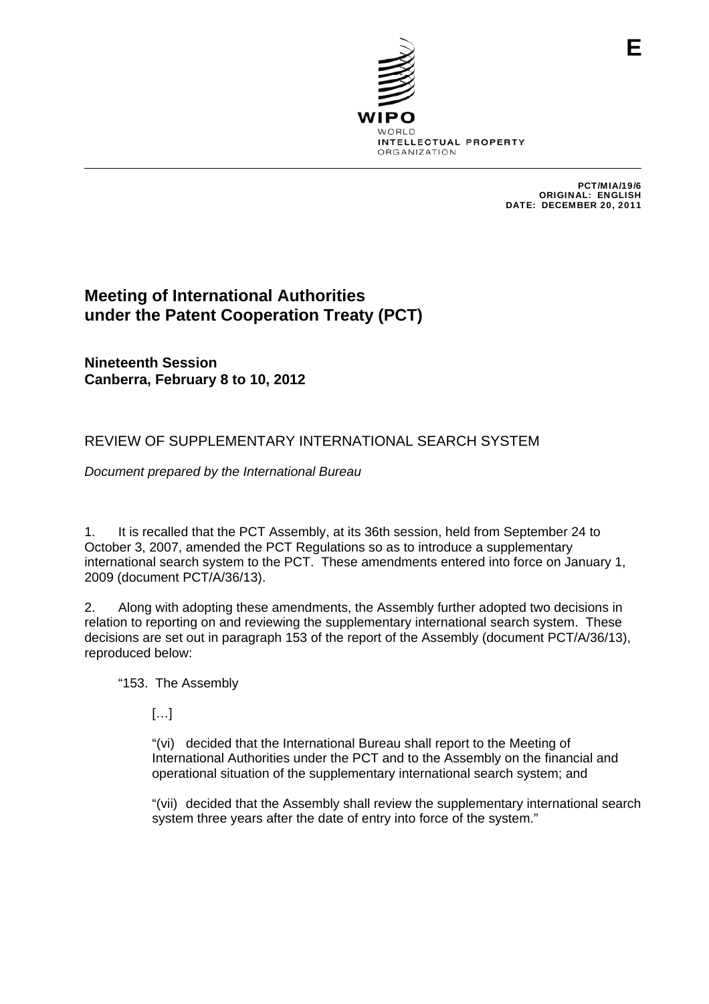

PCT/MIA/19/6 ORIGINAL: ENGLISH DATE: DECEMBER 20, 2011

# **Meeting of International Authorities under the Patent Cooperation Treaty (PCT)**

**Nineteenth Session Canberra, February 8 to 10, 2012** 

# REVIEW OF SUPPLEMENTARY INTERNATIONAL SEARCH SYSTEM

*Document prepared by the International Bureau* 

1. It is recalled that the PCT Assembly, at its 36th session, held from September 24 to October 3, 2007, amended the PCT Regulations so as to introduce a supplementary international search system to the PCT. These amendments entered into force on January 1, 2009 (document PCT/A/36/13).

2. Along with adopting these amendments, the Assembly further adopted two decisions in relation to reporting on and reviewing the supplementary international search system. These decisions are set out in paragraph 153 of the report of the Assembly (document PCT/A/36/13), reproduced below:

"153. The Assembly

[…]

"(vi) decided that the International Bureau shall report to the Meeting of International Authorities under the PCT and to the Assembly on the financial and operational situation of the supplementary international search system; and

"(vii) decided that the Assembly shall review the supplementary international search system three years after the date of entry into force of the system."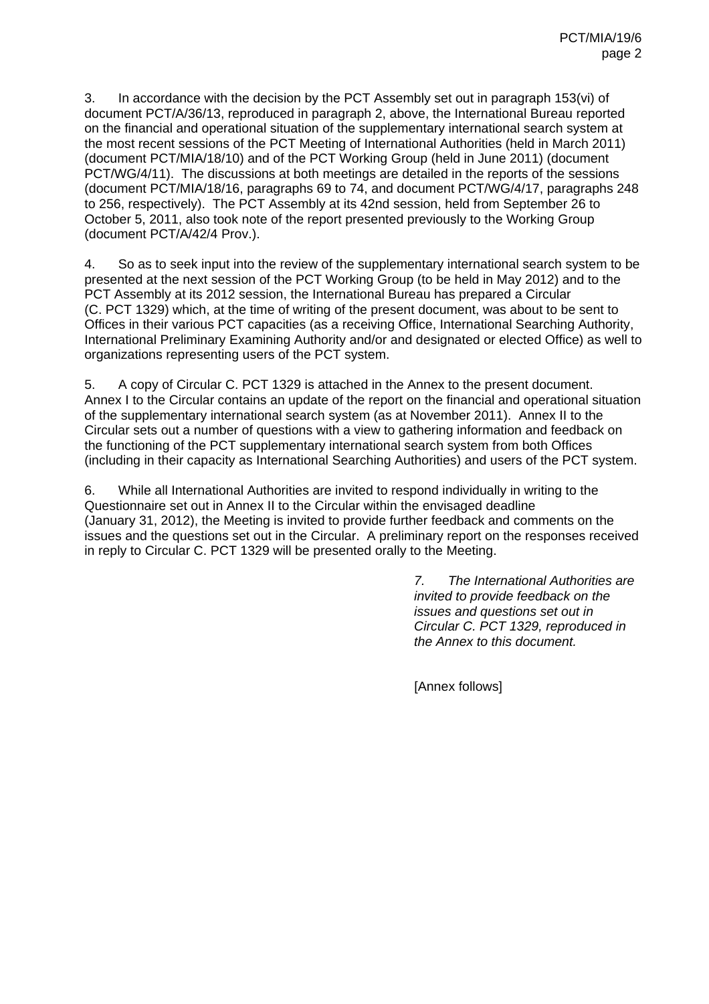3. In accordance with the decision by the PCT Assembly set out in paragraph 153(vi) of document PCT/A/36/13, reproduced in paragraph 2, above, the International Bureau reported on the financial and operational situation of the supplementary international search system at the most recent sessions of the PCT Meeting of International Authorities (held in March 2011) (document PCT/MIA/18/10) and of the PCT Working Group (held in June 2011) (document PCT/WG/4/11). The discussions at both meetings are detailed in the reports of the sessions (document PCT/MIA/18/16, paragraphs 69 to 74, and document PCT/WG/4/17, paragraphs 248 to 256, respectively). The PCT Assembly at its 42nd session, held from September 26 to October 5, 2011, also took note of the report presented previously to the Working Group (document PCT/A/42/4 Prov.).

4. So as to seek input into the review of the supplementary international search system to be presented at the next session of the PCT Working Group (to be held in May 2012) and to the PCT Assembly at its 2012 session, the International Bureau has prepared a Circular (C. PCT 1329) which, at the time of writing of the present document, was about to be sent to Offices in their various PCT capacities (as a receiving Office, International Searching Authority, International Preliminary Examining Authority and/or and designated or elected Office) as well to organizations representing users of the PCT system.

5. A copy of Circular C. PCT 1329 is attached in the Annex to the present document. Annex I to the Circular contains an update of the report on the financial and operational situation of the supplementary international search system (as at November 2011). Annex II to the Circular sets out a number of questions with a view to gathering information and feedback on the functioning of the PCT supplementary international search system from both Offices (including in their capacity as International Searching Authorities) and users of the PCT system.

6. While all International Authorities are invited to respond individually in writing to the Questionnaire set out in Annex II to the Circular within the envisaged deadline (January 31, 2012), the Meeting is invited to provide further feedback and comments on the issues and the questions set out in the Circular. A preliminary report on the responses received in reply to Circular C. PCT 1329 will be presented orally to the Meeting.

> *7. The International Authorities are invited to provide feedback on the issues and questions set out in Circular C. PCT 1329, reproduced in the Annex to this document.*

[Annex follows]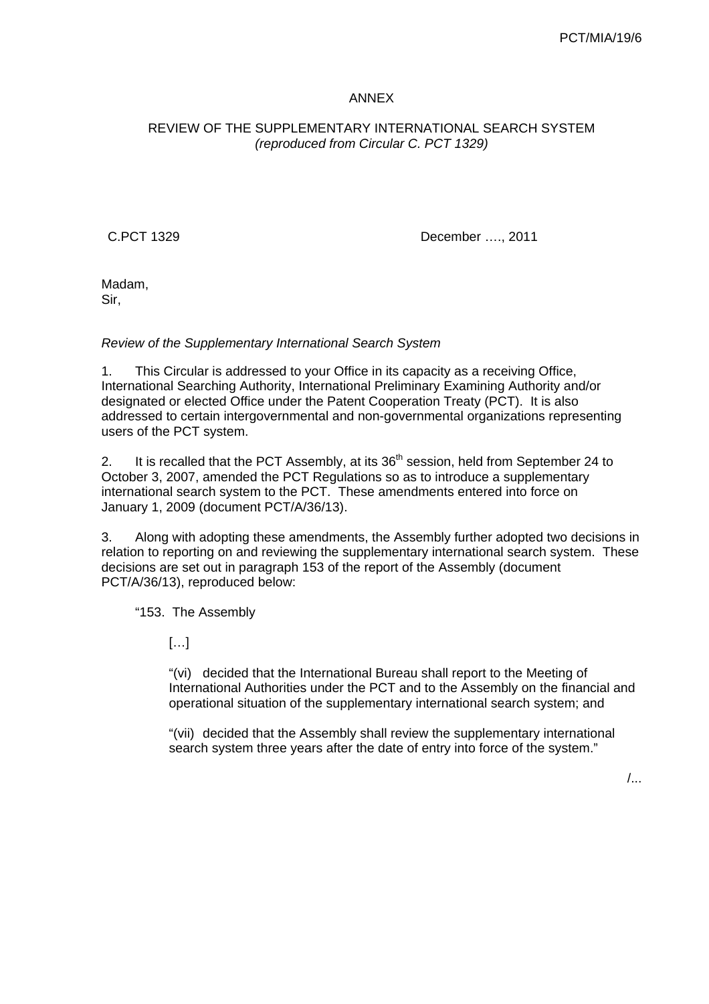# ANNEX

# REVIEW OF THE SUPPLEMENTARY INTERNATIONAL SEARCH SYSTEM *(reproduced from Circular C. PCT 1329)*

C.PCT 1329 December …., 2011

Madam, Sir,

#### *Review of the Supplementary International Search System*

1. This Circular is addressed to your Office in its capacity as a receiving Office, International Searching Authority, International Preliminary Examining Authority and/or designated or elected Office under the Patent Cooperation Treaty (PCT). It is also addressed to certain intergovernmental and non-governmental organizations representing users of the PCT system.

2. It is recalled that the PCT Assembly, at its  $36<sup>th</sup>$  session, held from September 24 to October 3, 2007, amended the PCT Regulations so as to introduce a supplementary international search system to the PCT. These amendments entered into force on January 1, 2009 (document PCT/A/36/13).

3. Along with adopting these amendments, the Assembly further adopted two decisions in relation to reporting on and reviewing the supplementary international search system. These decisions are set out in paragraph 153 of the report of the Assembly (document PCT/A/36/13), reproduced below:

"153. The Assembly

 $[...]$ 

"(vi) decided that the International Bureau shall report to the Meeting of International Authorities under the PCT and to the Assembly on the financial and operational situation of the supplementary international search system; and

"(vii) decided that the Assembly shall review the supplementary international search system three years after the date of entry into force of the system."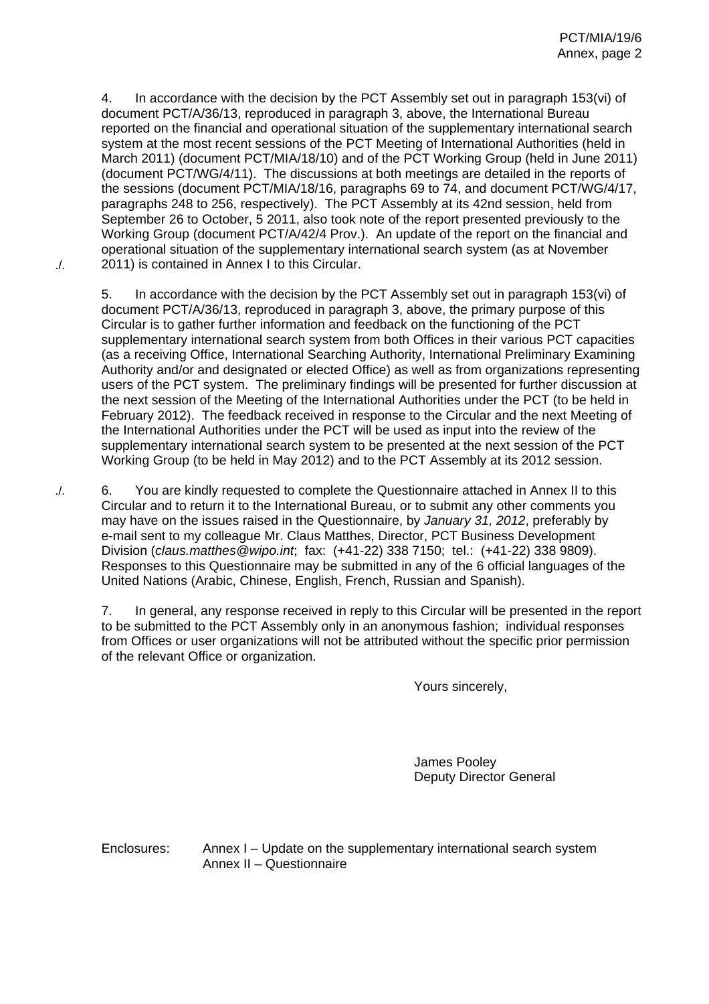4. In accordance with the decision by the PCT Assembly set out in paragraph 153(vi) of document PCT/A/36/13, reproduced in paragraph 3, above, the International Bureau reported on the financial and operational situation of the supplementary international search system at the most recent sessions of the PCT Meeting of International Authorities (held in March 2011) (document PCT/MIA/18/10) and of the PCT Working Group (held in June 2011) (document PCT/WG/4/11). The discussions at both meetings are detailed in the reports of the sessions (document PCT/MIA/18/16, paragraphs 69 to 74, and document PCT/WG/4/17, paragraphs 248 to 256, respectively). The PCT Assembly at its 42nd session, held from September 26 to October, 5 2011, also took note of the report presented previously to the Working Group (document PCT/A/42/4 Prov.). An update of the report on the financial and operational situation of the supplementary international search system (as at November 2011) is contained in Annex I to this Circular.

./.

5. In accordance with the decision by the PCT Assembly set out in paragraph 153(vi) of document PCT/A/36/13, reproduced in paragraph 3, above, the primary purpose of this Circular is to gather further information and feedback on the functioning of the PCT supplementary international search system from both Offices in their various PCT capacities (as a receiving Office, International Searching Authority, International Preliminary Examining Authority and/or and designated or elected Office) as well as from organizations representing users of the PCT system. The preliminary findings will be presented for further discussion at the next session of the Meeting of the International Authorities under the PCT (to be held in February 2012). The feedback received in response to the Circular and the next Meeting of the International Authorities under the PCT will be used as input into the review of the supplementary international search system to be presented at the next session of the PCT Working Group (to be held in May 2012) and to the PCT Assembly at its 2012 session.

6. You are kindly requested to complete the Questionnaire attached in Annex II to this Circular and to return it to the International Bureau, or to submit any other comments you may have on the issues raised in the Questionnaire, by *January 31, 2012*, preferably by e-mail sent to my colleague Mr. Claus Matthes, Director, PCT Business Development Division (*claus.matthes@wipo.int*; fax: (+41-22) 338 7150; tel.: (+41-22) 338 9809). Responses to this Questionnaire may be submitted in any of the 6 official languages of the United Nations (Arabic, Chinese, English, French, Russian and Spanish). ./.

7. In general, any response received in reply to this Circular will be presented in the report to be submitted to the PCT Assembly only in an anonymous fashion; individual responses from Offices or user organizations will not be attributed without the specific prior permission of the relevant Office or organization.

Yours sincerely,

James Pooley Deputy Director General

Enclosures: Annex I – Update on the supplementary international search system Annex II – Questionnaire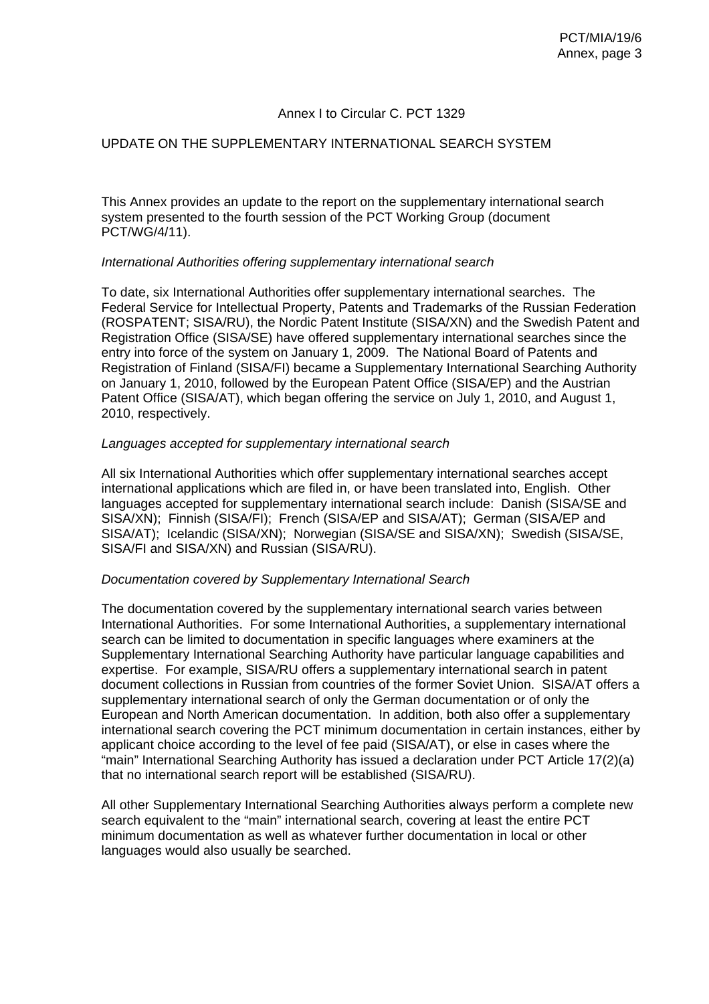## Annex I to Circular C. PCT 1329

#### UPDATE ON THE SUPPLEMENTARY INTERNATIONAL SEARCH SYSTEM

This Annex provides an update to the report on the supplementary international search system presented to the fourth session of the PCT Working Group (document PCT/WG/4/11).

#### *International Authorities offering supplementary international search*

To date, six International Authorities offer supplementary international searches. The Federal Service for Intellectual Property, Patents and Trademarks of the Russian Federation (ROSPATENT; SISA/RU), the Nordic Patent Institute (SISA/XN) and the Swedish Patent and Registration Office (SISA/SE) have offered supplementary international searches since the entry into force of the system on January 1, 2009. The National Board of Patents and Registration of Finland (SISA/FI) became a Supplementary International Searching Authority on January 1, 2010, followed by the European Patent Office (SISA/EP) and the Austrian Patent Office (SISA/AT), which began offering the service on July 1, 2010, and August 1, 2010, respectively.

## *Languages accepted for supplementary international search*

All six International Authorities which offer supplementary international searches accept international applications which are filed in, or have been translated into, English. Other languages accepted for supplementary international search include: Danish (SISA/SE and SISA/XN); Finnish (SISA/FI); French (SISA/EP and SISA/AT); German (SISA/EP and SISA/AT); Icelandic (SISA/XN); Norwegian (SISA/SE and SISA/XN); Swedish (SISA/SE, SISA/FI and SISA/XN) and Russian (SISA/RU).

#### *Documentation covered by Supplementary International Search*

The documentation covered by the supplementary international search varies between International Authorities. For some International Authorities, a supplementary international search can be limited to documentation in specific languages where examiners at the Supplementary International Searching Authority have particular language capabilities and expertise. For example, SISA/RU offers a supplementary international search in patent document collections in Russian from countries of the former Soviet Union. SISA/AT offers a supplementary international search of only the German documentation or of only the European and North American documentation. In addition, both also offer a supplementary international search covering the PCT minimum documentation in certain instances, either by applicant choice according to the level of fee paid (SISA/AT), or else in cases where the "main" International Searching Authority has issued a declaration under PCT Article 17(2)(a) that no international search report will be established (SISA/RU).

All other Supplementary International Searching Authorities always perform a complete new search equivalent to the "main" international search, covering at least the entire PCT minimum documentation as well as whatever further documentation in local or other languages would also usually be searched.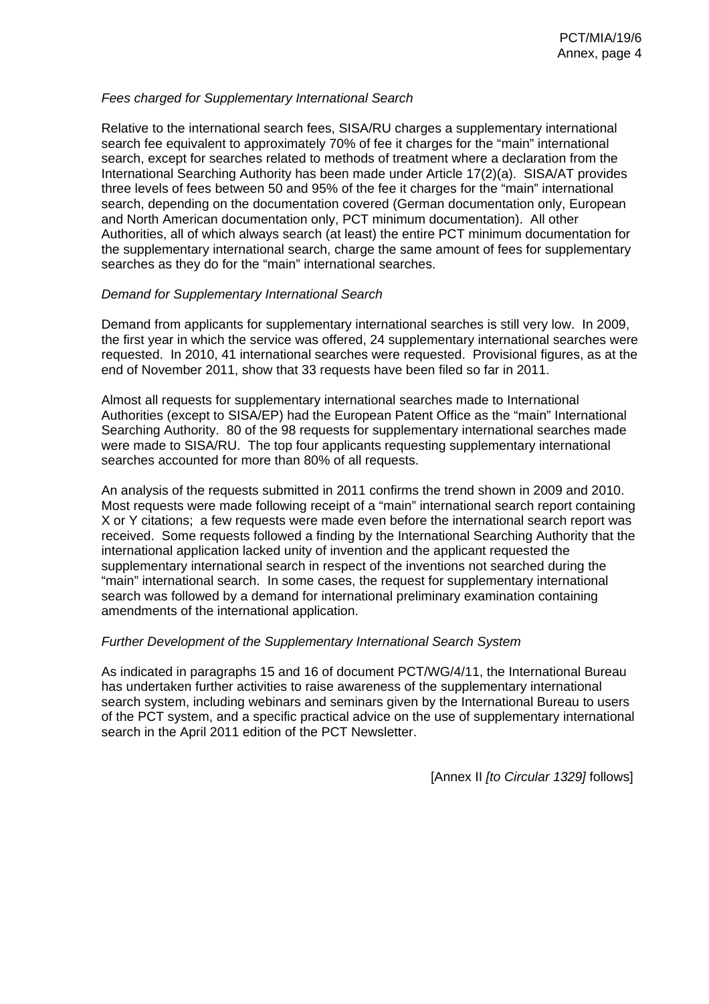## *Fees charged for Supplementary International Search*

Relative to the international search fees, SISA/RU charges a supplementary international search fee equivalent to approximately 70% of fee it charges for the "main" international search, except for searches related to methods of treatment where a declaration from the International Searching Authority has been made under Article 17(2)(a). SISA/AT provides three levels of fees between 50 and 95% of the fee it charges for the "main" international search, depending on the documentation covered (German documentation only, European and North American documentation only, PCT minimum documentation). All other Authorities, all of which always search (at least) the entire PCT minimum documentation for the supplementary international search, charge the same amount of fees for supplementary searches as they do for the "main" international searches.

## *Demand for Supplementary International Search*

Demand from applicants for supplementary international searches is still very low. In 2009, the first year in which the service was offered, 24 supplementary international searches were requested. In 2010, 41 international searches were requested. Provisional figures, as at the end of November 2011, show that 33 requests have been filed so far in 2011.

Almost all requests for supplementary international searches made to International Authorities (except to SISA/EP) had the European Patent Office as the "main" International Searching Authority. 80 of the 98 requests for supplementary international searches made were made to SISA/RU. The top four applicants requesting supplementary international searches accounted for more than 80% of all requests.

An analysis of the requests submitted in 2011 confirms the trend shown in 2009 and 2010. Most requests were made following receipt of a "main" international search report containing X or Y citations; a few requests were made even before the international search report was received. Some requests followed a finding by the International Searching Authority that the international application lacked unity of invention and the applicant requested the supplementary international search in respect of the inventions not searched during the "main" international search. In some cases, the request for supplementary international search was followed by a demand for international preliminary examination containing amendments of the international application.

#### *Further Development of the Supplementary International Search System*

As indicated in paragraphs 15 and 16 of document PCT/WG/4/11, the International Bureau has undertaken further activities to raise awareness of the supplementary international search system, including webinars and seminars given by the International Bureau to users of the PCT system, and a specific practical advice on the use of supplementary international search in the April 2011 edition of the PCT Newsletter.

[Annex II *[to Circular 1329]* follows]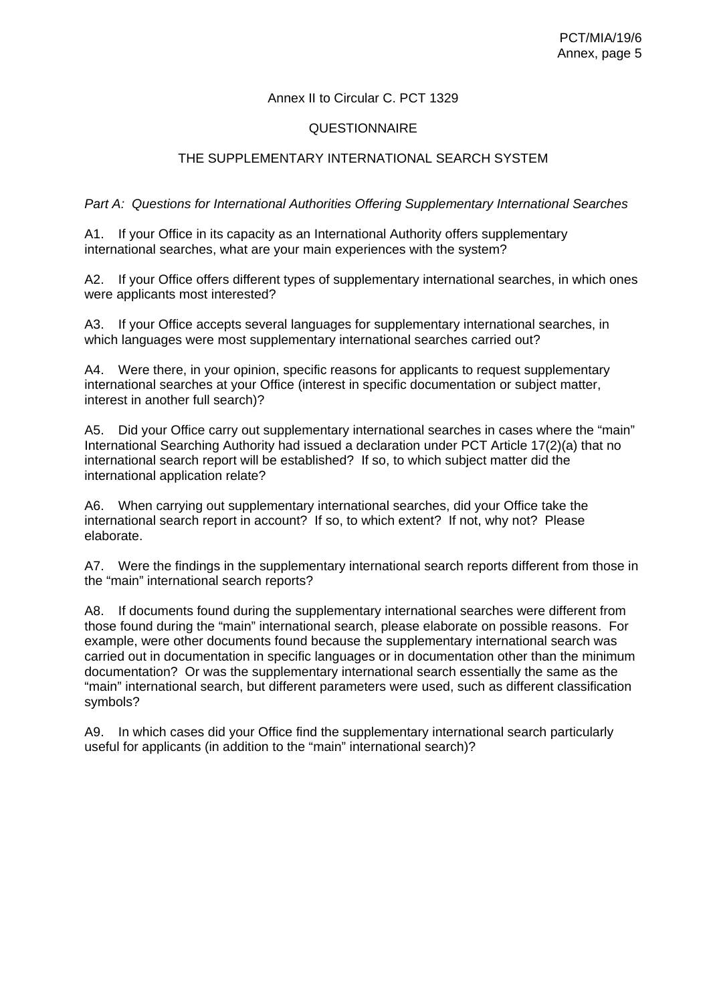# Annex II to Circular C. PCT 1329

# QUESTIONNAIRE

# THE SUPPLEMENTARY INTERNATIONAL SEARCH SYSTEM

## *Part A: Questions for International Authorities Offering Supplementary International Searches*

A1. If your Office in its capacity as an International Authority offers supplementary international searches, what are your main experiences with the system?

A2. If your Office offers different types of supplementary international searches, in which ones were applicants most interested?

A3. If your Office accepts several languages for supplementary international searches, in which languages were most supplementary international searches carried out?

A4. Were there, in your opinion, specific reasons for applicants to request supplementary international searches at your Office (interest in specific documentation or subject matter, interest in another full search)?

A5. Did your Office carry out supplementary international searches in cases where the "main" International Searching Authority had issued a declaration under PCT Article 17(2)(a) that no international search report will be established? If so, to which subject matter did the international application relate?

A6. When carrying out supplementary international searches, did your Office take the international search report in account? If so, to which extent? If not, why not? Please elaborate.

A7. Were the findings in the supplementary international search reports different from those in the "main" international search reports?

A8. If documents found during the supplementary international searches were different from those found during the "main" international search, please elaborate on possible reasons. For example, were other documents found because the supplementary international search was carried out in documentation in specific languages or in documentation other than the minimum documentation? Or was the supplementary international search essentially the same as the "main" international search, but different parameters were used, such as different classification symbols?

A9. In which cases did your Office find the supplementary international search particularly useful for applicants (in addition to the "main" international search)?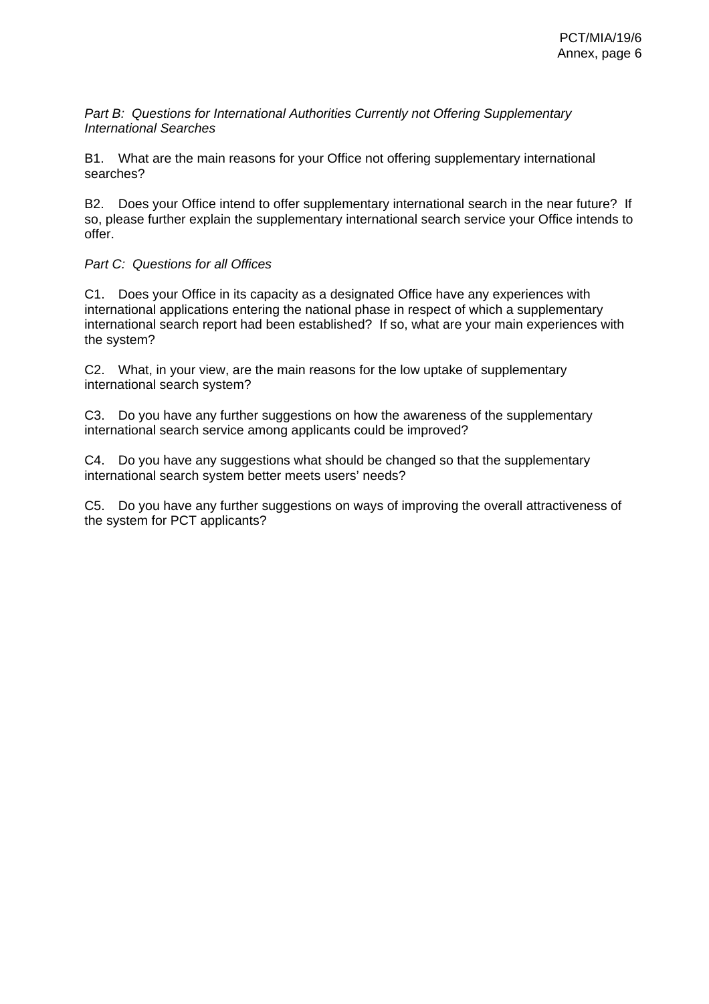*Part B: Questions for International Authorities Currently not Offering Supplementary International Searches* 

B1. What are the main reasons for your Office not offering supplementary international searches?

B2. Does your Office intend to offer supplementary international search in the near future? If so, please further explain the supplementary international search service your Office intends to offer.

# *Part C: Questions for all Offices*

C1. Does your Office in its capacity as a designated Office have any experiences with international applications entering the national phase in respect of which a supplementary international search report had been established? If so, what are your main experiences with the system?

C2. What, in your view, are the main reasons for the low uptake of supplementary international search system?

C3. Do you have any further suggestions on how the awareness of the supplementary international search service among applicants could be improved?

C4. Do you have any suggestions what should be changed so that the supplementary international search system better meets users' needs?

C5. Do you have any further suggestions on ways of improving the overall attractiveness of the system for PCT applicants?